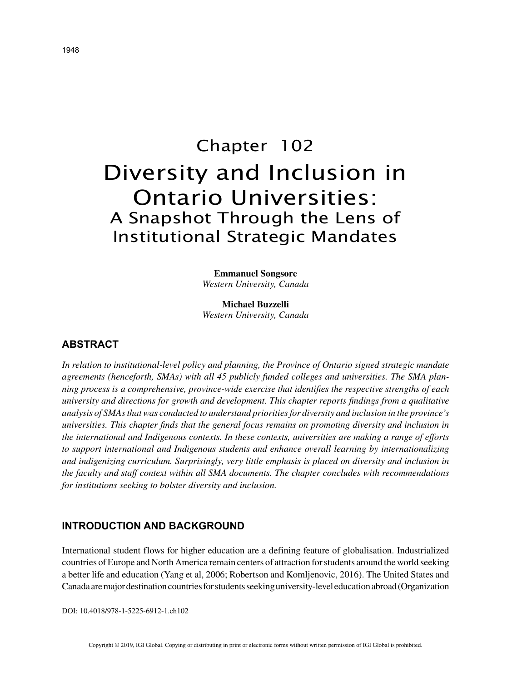# Chapter 102 Diversity and Inclusion in Ontario Universities: A Snapshot Through the Lens of Institutional Strategic Mandates

**Emmanuel Songsore** *Western University, Canada*

**Michael Buzzelli** *Western University, Canada*

### **ABSTRACT**

*In relation to institutional-level policy and planning, the Province of Ontario signed strategic mandate agreements (henceforth, SMAs) with all 45 publicly funded colleges and universities. The SMA planning process is a comprehensive, province-wide exercise that identifies the respective strengths of each university and directions for growth and development. This chapter reports findings from a qualitative analysis of SMAs that was conducted to understand priorities for diversity and inclusion in the province's universities. This chapter finds that the general focus remains on promoting diversity and inclusion in the international and Indigenous contexts. In these contexts, universities are making a range of efforts to support international and Indigenous students and enhance overall learning by internationalizing and indigenizing curriculum. Surprisingly, very little emphasis is placed on diversity and inclusion in the faculty and staff context within all SMA documents. The chapter concludes with recommendations for institutions seeking to bolster diversity and inclusion.*

#### **INTRODUCTION AND BACKGROUND**

International student flows for higher education are a defining feature of globalisation. Industrialized countries of Europe and North America remain centers of attraction for students around the world seeking a better life and education (Yang et al, 2006; Robertson and Komljenovic, 2016). The United States and Canada are major destination countries for students seeking university-level education abroad (Organization

DOI: 10.4018/978-1-5225-6912-1.ch102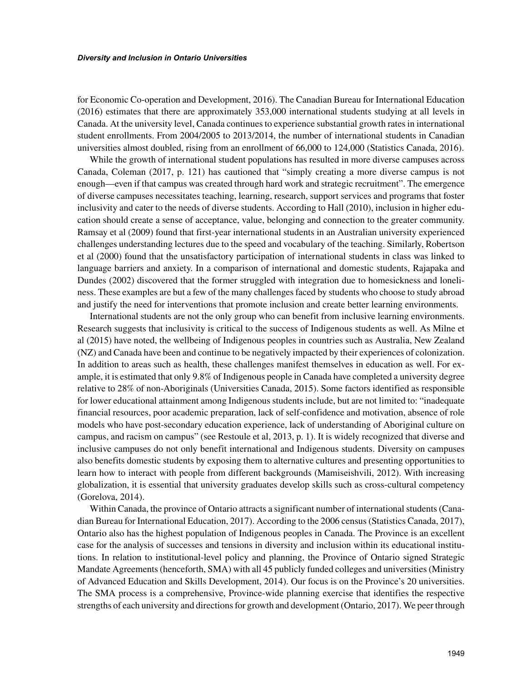for Economic Co-operation and Development, 2016). The Canadian Bureau for International Education (2016) estimates that there are approximately 353,000 international students studying at all levels in Canada. At the university level, Canada continues to experience substantial growth rates in international student enrollments. From 2004/2005 to 2013/2014, the number of international students in Canadian universities almost doubled, rising from an enrollment of 66,000 to 124,000 (Statistics Canada, 2016).

While the growth of international student populations has resulted in more diverse campuses across Canada, Coleman (2017, p. 121) has cautioned that "simply creating a more diverse campus is not enough—even if that campus was created through hard work and strategic recruitment". The emergence of diverse campuses necessitates teaching, learning, research, support services and programs that foster inclusivity and cater to the needs of diverse students. According to Hall (2010), inclusion in higher education should create a sense of acceptance, value, belonging and connection to the greater community. Ramsay et al (2009) found that first-year international students in an Australian university experienced challenges understanding lectures due to the speed and vocabulary of the teaching. Similarly, Robertson et al (2000) found that the unsatisfactory participation of international students in class was linked to language barriers and anxiety. In a comparison of international and domestic students, Rajapaka and Dundes (2002) discovered that the former struggled with integration due to homesickness and loneliness. These examples are but a few of the many challenges faced by students who choose to study abroad and justify the need for interventions that promote inclusion and create better learning environments.

International students are not the only group who can benefit from inclusive learning environments. Research suggests that inclusivity is critical to the success of Indigenous students as well. As Milne et al (2015) have noted, the wellbeing of Indigenous peoples in countries such as Australia, New Zealand (NZ) and Canada have been and continue to be negatively impacted by their experiences of colonization. In addition to areas such as health, these challenges manifest themselves in education as well. For example, it is estimated that only 9.8% of Indigenous people in Canada have completed a university degree relative to 28% of non-Aboriginals (Universities Canada, 2015). Some factors identified as responsible for lower educational attainment among Indigenous students include, but are not limited to: "inadequate financial resources, poor academic preparation, lack of self-confidence and motivation, absence of role models who have post-secondary education experience, lack of understanding of Aboriginal culture on campus, and racism on campus" (see Restoule et al, 2013, p. 1). It is widely recognized that diverse and inclusive campuses do not only benefit international and Indigenous students. Diversity on campuses also benefits domestic students by exposing them to alternative cultures and presenting opportunities to learn how to interact with people from different backgrounds (Mamiseishvili, 2012). With increasing globalization, it is essential that university graduates develop skills such as cross-cultural competency (Gorelova, 2014).

Within Canada, the province of Ontario attracts a significant number of international students (Canadian Bureau for International Education, 2017). According to the 2006 census (Statistics Canada, 2017), Ontario also has the highest population of Indigenous peoples in Canada. The Province is an excellent case for the analysis of successes and tensions in diversity and inclusion within its educational institutions. In relation to institutional-level policy and planning, the Province of Ontario signed Strategic Mandate Agreements (henceforth, SMA) with all 45 publicly funded colleges and universities (Ministry of Advanced Education and Skills Development, 2014). Our focus is on the Province's 20 universities. The SMA process is a comprehensive, Province-wide planning exercise that identifies the respective strengths of each university and directions for growth and development (Ontario, 2017). We peer through